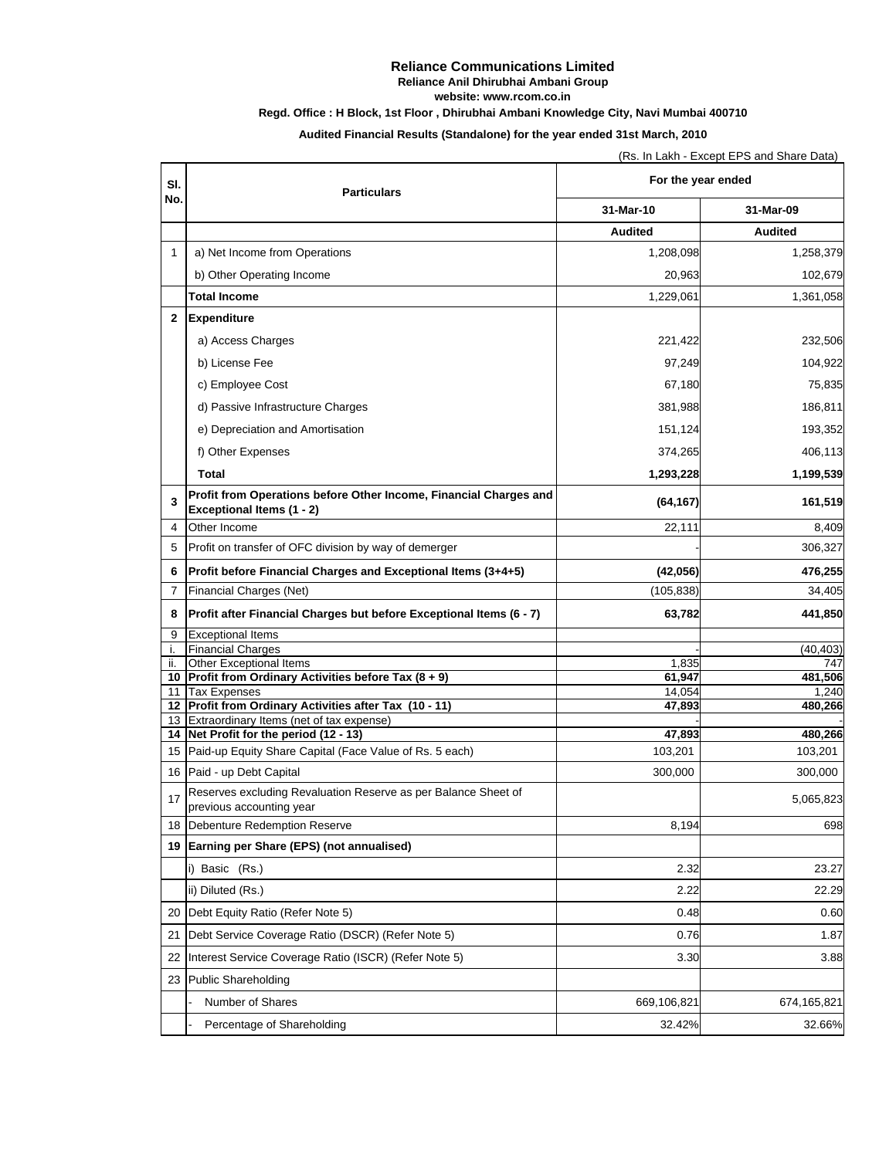## **Reliance Communications Limited**

**Reliance Anil Dhirubhai Ambani Group**

**website: www.rcom.co.in**

# **Regd. Office : H Block, 1st Floor , Dhirubhai Ambani Knowledge City, Navi Mumbai 400710**

**Audited Financial Results (Standalone) for the year ended 31st March, 2010**

(Rs. In Lakh - Except EPS and Share Data)

| SI.<br>No.     | <b>Particulars</b>                                                                         | For the year ended |                  |
|----------------|--------------------------------------------------------------------------------------------|--------------------|------------------|
|                |                                                                                            | 31-Mar-10          | 31-Mar-09        |
|                |                                                                                            | <b>Audited</b>     | <b>Audited</b>   |
| 1              | a) Net Income from Operations                                                              | 1,208,098          | 1,258,379        |
|                | b) Other Operating Income                                                                  | 20,963             | 102,679          |
|                | <b>Total Income</b>                                                                        | 1,229,061          | 1,361,058        |
| $\mathbf{2}$   | Expenditure                                                                                |                    |                  |
|                | a) Access Charges                                                                          |                    |                  |
|                |                                                                                            | 221,422            | 232,506          |
|                | b) License Fee                                                                             | 97,249             | 104,922          |
|                | c) Employee Cost                                                                           | 67,180             | 75,835           |
|                | d) Passive Infrastructure Charges                                                          | 381,988            | 186,811          |
|                | e) Depreciation and Amortisation                                                           | 151,124            | 193,352          |
|                | f) Other Expenses                                                                          | 374,265            | 406,113          |
|                | Total                                                                                      | 1,293,228          | 1,199,539        |
|                | Profit from Operations before Other Income, Financial Charges and                          |                    |                  |
| 3              | <b>Exceptional Items (1 - 2)</b>                                                           | (64, 167)          | 161,519          |
| 4              | Other Income                                                                               | 22,111             | 8,409            |
| 5              | Profit on transfer of OFC division by way of demerger                                      |                    | 306,327          |
| 6              | Profit before Financial Charges and Exceptional Items (3+4+5)                              | (42, 056)          | 476,255          |
| $\overline{7}$ | Financial Charges (Net)                                                                    | (105, 838)         | 34,405           |
| 8              | Profit after Financial Charges but before Exceptional Items (6 - 7)                        | 63,782             | 441,850          |
| 9              | <b>Exceptional Items</b>                                                                   |                    |                  |
| i.             | <b>Financial Charges</b>                                                                   |                    | (40, 403)        |
| ii.            | Other Exceptional Items                                                                    | 1,835              | 747              |
|                | 10 Profit from Ordinary Activities before Tax (8 + 9)                                      | 61,947             | 481,506          |
|                | 11 Tax Expenses<br>12 Profit from Ordinary Activities after Tax (10 - 11)                  | 14,054<br>47,893   | 1,240<br>480,266 |
|                | 13 Extraordinary Items (net of tax expense)                                                |                    |                  |
|                | 14 Net Profit for the period (12 - 13)                                                     | 47,893             | 480,266          |
|                | 15 Paid-up Equity Share Capital (Face Value of Rs. 5 each)                                 | 103,201            | 103,201          |
|                | 16 Paid - up Debt Capital                                                                  | 300,000            | 300,000          |
| 17             | Reserves excluding Revaluation Reserve as per Balance Sheet of<br>previous accounting year |                    | 5,065,823        |
|                | 18 Debenture Redemption Reserve                                                            | 8,194              | 698              |
| 19             | Earning per Share (EPS) (not annualised)                                                   |                    |                  |
|                | i) Basic (Rs.)                                                                             | 2.32               | 23.27            |
|                | ii) Diluted (Rs.)                                                                          | 2.22               | 22.29            |
|                |                                                                                            |                    |                  |
| 20             | Debt Equity Ratio (Refer Note 5)                                                           | 0.48               | 0.60             |
| 21             | Debt Service Coverage Ratio (DSCR) (Refer Note 5)                                          | 0.76               | 1.87             |
| 22             | Interest Service Coverage Ratio (ISCR) (Refer Note 5)                                      | 3.30               | 3.88             |
| 23             | Public Shareholding                                                                        |                    |                  |
|                | Number of Shares                                                                           | 669,106,821        | 674,165,821      |
|                | Percentage of Shareholding                                                                 | 32.42%             | 32.66%           |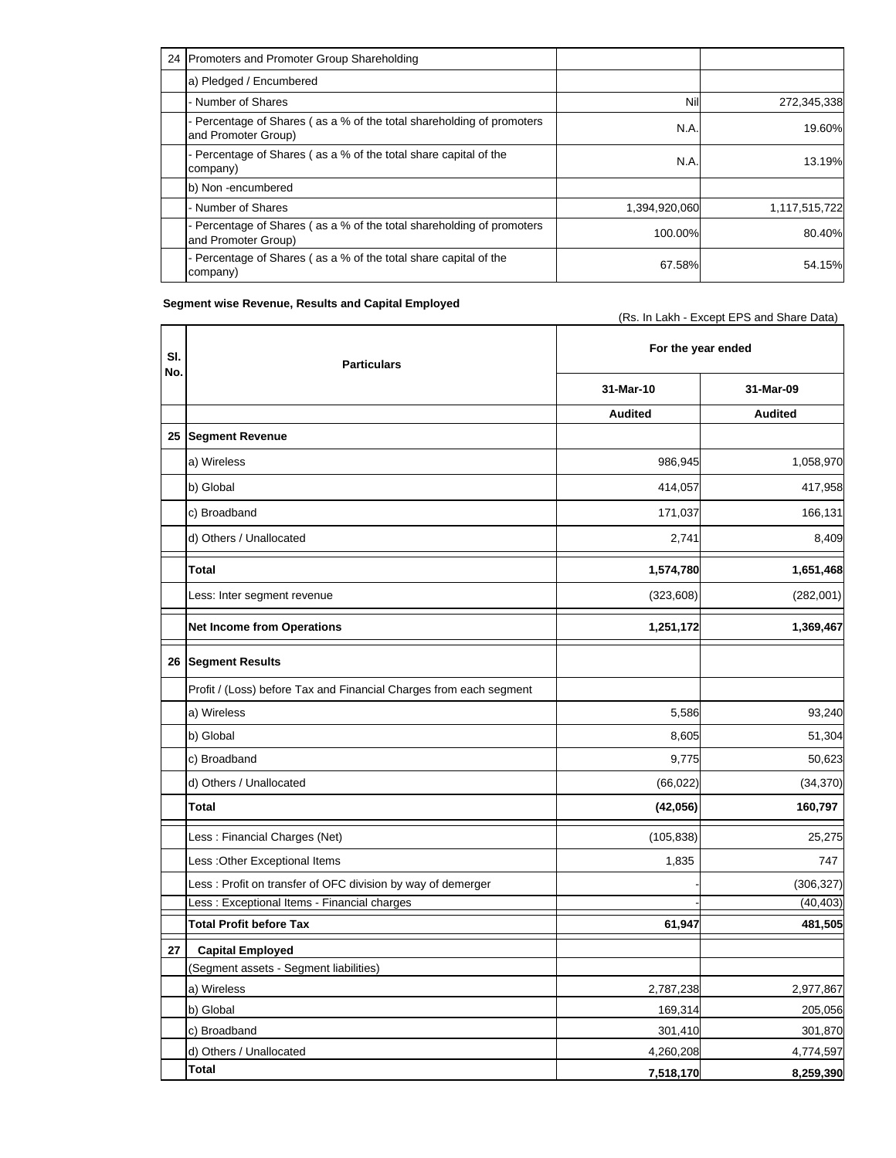| 24 Promoters and Promoter Group Shareholding                                                 |               |               |
|----------------------------------------------------------------------------------------------|---------------|---------------|
| a) Pledged / Encumbered                                                                      |               |               |
| - Number of Shares                                                                           | Nil           | 272,345,338   |
| - Percentage of Shares (as a % of the total shareholding of promoters<br>and Promoter Group) | N.A.          | 19.60%        |
| - Percentage of Shares (as a % of the total share capital of the<br>company)                 | N.A.          | 13.19%        |
| b) Non-encumbered                                                                            |               |               |
| - Number of Shares                                                                           | 1,394,920,060 | 1,117,515,722 |
| - Percentage of Shares (as a % of the total shareholding of promoters<br>and Promoter Group) | 100.00%       | 80.40%        |
| - Percentage of Shares (as a % of the total share capital of the<br>company)                 | 67.58%        | 54.15%        |

(Rs. In Lakh - Except EPS and Share Data)

#### **Segment wise Revenue, Results and Capital Employed**

**31-Mar-10 31-Mar-09 Audited Audited 25 Segment Revenue** a) Wireless 986,945 1,058,970 b) Global 414,057 417,958 c) Broadband 171,037 166,131 166,131 171,037 166,131 171,037 166,131 166,131 171,037 166,131 166,131 166,131 1 d) Others / Unallocated 8,409 **Total 1,574,780 1,651,468**  Less: Inter segment revenue (323,608) (282,001) **Net Income from Operations 1,369,467**  1,369,467 **1,369,467 1,369,467 1 (0) 26 Segment Results** Profit / (Loss) before Tax and Financial Charges from each segment a) Wireless 5,586 93,240 b) Global 8,605 51,304 c) Broadband 9,775 50,623 50,623 d) Others / Unallocated (66,022) (34,370) **Total 160,797 (42,056)**  Less : Financial Charges (Net) (105,838) 25,275 Less :Other Exceptional Items 1,835 747 Less : Profit on transfer of OFC division by way of demerger  $\overline{a}$  and the state of  $\overline{306,327}$ Less : Exceptional Items - Financial charges - (40,403)  $\frac{1}{2}$  (40,403) **Total Profit before Tax** 481,505 **27 Capital Employed** (Segment assets - Segment liabilities) a) Wireless 2,787,238 2,977,867 b) Global 169,314 205,056 c) Broadband 301,870 301,870 d) Others / Unallocated 4,774,597 **Total 7,518,170 8,259,390 Sl. No. For the year ended Particulars**